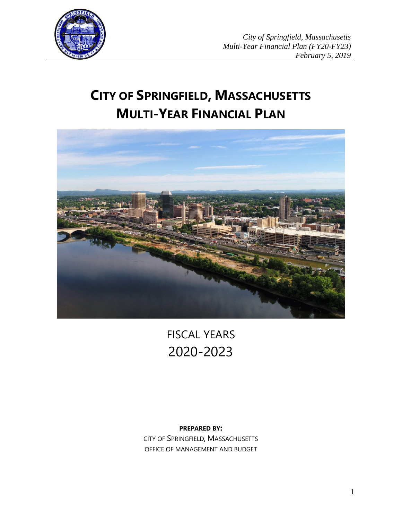

# **CITY OF SPRINGFIELD, MASSACHUSETTS MULTI-YEAR FINANCIAL PLAN**



FISCAL YEARS 2020-2023

# **PREPARED BY:**

CITY OF SPRINGFIELD, MASSACHUSETTS OFFICE OF MANAGEMENT AND BUDGET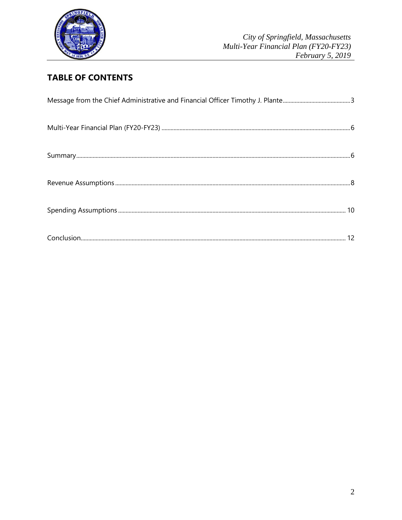

# **TABLE OF CONTENTS**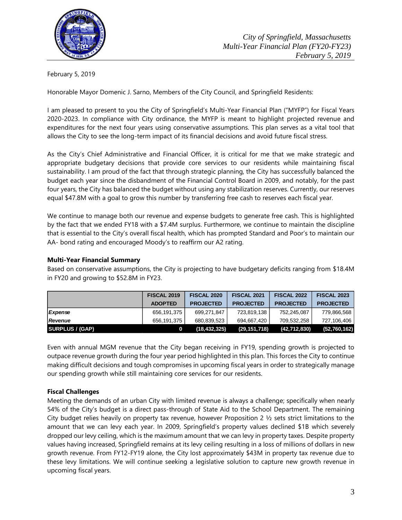

February 5, 2019

Honorable Mayor Domenic J. Sarno, Members of the City Council, and Springfield Residents:

I am pleased to present to you the City of Springfield's Multi-Year Financial Plan ("MYFP") for Fiscal Years 2020-2023. In compliance with City ordinance, the MYFP is meant to highlight projected revenue and expenditures for the next four years using conservative assumptions. This plan serves as a vital tool that allows the City to see the long-term impact of its financial decisions and avoid future fiscal stress.

As the City's Chief Administrative and Financial Officer, it is critical for me that we make strategic and appropriate budgetary decisions that provide core services to our residents while maintaining fiscal sustainability. I am proud of the fact that through strategic planning, the City has successfully balanced the budget each year since the disbandment of the Financial Control Board in 2009, and notably, for the past four years, the City has balanced the budget without using any stabilization reserves. Currently, our reserves equal \$47.8M with a goal to grow this number by transferring free cash to reserves each fiscal year.

We continue to manage both our revenue and expense budgets to generate free cash. This is highlighted by the fact that we ended FY18 with a \$7.4M surplus. Furthermore, we continue to maintain the discipline that is essential to the City's overall fiscal health, which has prompted Standard and Poor's to maintain our AA- bond rating and encouraged Moody's to reaffirm our A2 rating.

#### **Multi-Year Financial Summary**

Based on conservative assumptions, the City is projecting to have budgetary deficits ranging from \$18.4M in FY20 and growing to \$52.8M in FY23.

|                        | <b>FISCAL 2019</b> | <b>FISCAL 2020</b> | <b>FISCAL 2021</b> | <b>FISCAL 2022</b> | <b>FISCAL 2023</b> |
|------------------------|--------------------|--------------------|--------------------|--------------------|--------------------|
|                        | <b>ADOPTED</b>     | <b>PROJECTED</b>   | <b>PROJECTED</b>   | <b>PROJECTED</b>   | <b>PROJECTED</b>   |
| Expense                | 656,191,375        | 699.271.847        | 723,819,138        | 752,245,087        | 779,866,568        |
| <b>Revenue</b>         | 656.191.375        | 680.839.523        | 694.667.420        | 709.532.258        | 727,106,406        |
| <b>SURPLUS / (GAP)</b> |                    | (18, 432, 325)     | (29, 151, 718)     | (42, 712, 830)     | (52, 760, 162)     |

Even with annual MGM revenue that the City began receiving in FY19, spending growth is projected to outpace revenue growth during the four year period highlighted in this plan. This forces the City to continue making difficult decisions and tough compromises in upcoming fiscal years in order to strategically manage our spending growth while still maintaining core services for our residents.

# **Fiscal Challenges**

Meeting the demands of an urban City with limited revenue is always a challenge; specifically when nearly 54% of the City's budget is a direct pass-through of State Aid to the School Department. The remaining City budget relies heavily on property tax revenue, however Proposition 2  $\frac{1}{2}$  sets strict limitations to the amount that we can levy each year. In 2009, Springfield's property values declined \$1B which severely dropped our levy ceiling, which is the maximum amount that we can levy in property taxes. Despite property values having increased, Springfield remains at its levy ceiling resulting in a loss of millions of dollars in new growth revenue. From FY12-FY19 alone, the City lost approximately \$43M in property tax revenue due to these levy limitations. We will continue seeking a legislative solution to capture new growth revenue in upcoming fiscal years.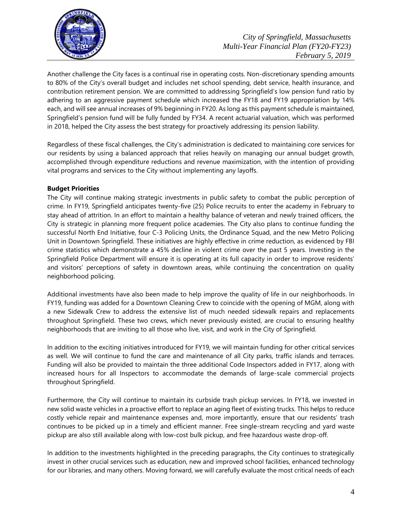

Another challenge the City faces is a continual rise in operating costs. Non-discretionary spending amounts to 80% of the City's overall budget and includes net school spending, debt service, health insurance, and contribution retirement pension. We are committed to addressing Springfield's low pension fund ratio by adhering to an aggressive payment schedule which increased the FY18 and FY19 appropriation by 14% each, and will see annual increases of 9% beginning in FY20. As long as this payment schedule is maintained, Springfield's pension fund will be fully funded by FY34. A recent actuarial valuation, which was performed in 2018, helped the City assess the best strategy for proactively addressing its pension liability.

Regardless of these fiscal challenges, the City's administration is dedicated to maintaining core services for our residents by using a balanced approach that relies heavily on managing our annual budget growth, accomplished through expenditure reductions and revenue maximization, with the intention of providing vital programs and services to the City without implementing any layoffs.

# **Budget Priorities**

The City will continue making strategic investments in public safety to combat the public perception of crime. In FY19, Springfield anticipates twenty-five (25) Police recruits to enter the academy in February to stay ahead of attrition. In an effort to maintain a healthy balance of veteran and newly trained officers, the City is strategic in planning more frequent police academies. The City also plans to continue funding the successful North End Initiative, four C-3 Policing Units, the Ordinance Squad, and the new Metro Policing Unit in Downtown Springfield. These initiatives are highly effective in crime reduction, as evidenced by FBI crime statistics which demonstrate a 45% decline in violent crime over the past 5 years. Investing in the Springfield Police Department will ensure it is operating at its full capacity in order to improve residents' and visitors' perceptions of safety in downtown areas, while continuing the concentration on quality neighborhood policing.

Additional investments have also been made to help improve the quality of life in our neighborhoods. In FY19, funding was added for a Downtown Cleaning Crew to coincide with the opening of MGM, along with a new Sidewalk Crew to address the extensive list of much needed sidewalk repairs and replacements throughout Springfield. These two crews, which never previously existed, are crucial to ensuring healthy neighborhoods that are inviting to all those who live, visit, and work in the City of Springfield.

In addition to the exciting initiatives introduced for FY19, we will maintain funding for other critical services as well. We will continue to fund the care and maintenance of all City parks, traffic islands and terraces. Funding will also be provided to maintain the three additional Code Inspectors added in FY17, along with increased hours for all Inspectors to accommodate the demands of large-scale commercial projects throughout Springfield.

Furthermore, the City will continue to maintain its curbside trash pickup services. In FY18, we invested in new solid waste vehicles in a proactive effort to replace an aging fleet of existing trucks. This helps to reduce costly vehicle repair and maintenance expenses and, more importantly, ensure that our residents' trash continues to be picked up in a timely and efficient manner. Free single-stream recycling and yard waste pickup are also still available along with low-cost bulk pickup, and free hazardous waste drop-off.

In addition to the investments highlighted in the preceding paragraphs, the City continues to strategically invest in other crucial services such as education, new and improved school facilities, enhanced technology for our libraries, and many others. Moving forward, we will carefully evaluate the most critical needs of each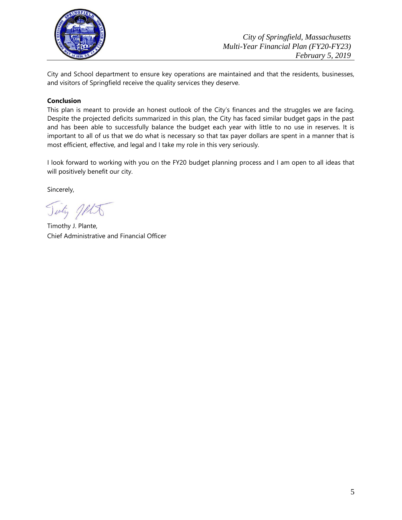

City and School department to ensure key operations are maintained and that the residents, businesses, and visitors of Springfield receive the quality services they deserve.

# **Conclusion**

This plan is meant to provide an honest outlook of the City's finances and the struggles we are facing. Despite the projected deficits summarized in this plan, the City has faced similar budget gaps in the past and has been able to successfully balance the budget each year with little to no use in reserves. It is important to all of us that we do what is necessary so that tax payer dollars are spent in a manner that is most efficient, effective, and legal and I take my role in this very seriously.

I look forward to working with you on the FY20 budget planning process and I am open to all ideas that will positively benefit our city.

Sincerely,

Tinty JALA

Timothy J. Plante, Chief Administrative and Financial Officer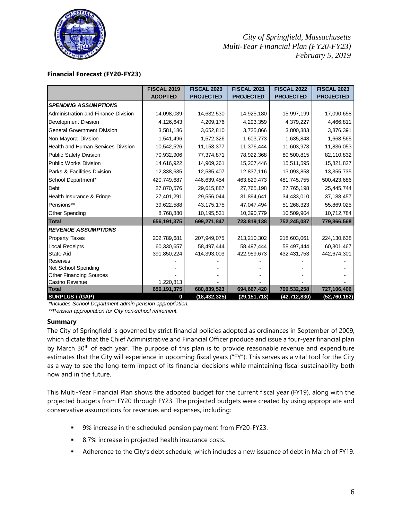

#### **Financial Forecast (FY20-FY23)**

|                                           | <b>FISCAL 2019</b> | <b>FISCAL 2020</b> | <b>FISCAL 2021</b> | <b>FISCAL 2022</b> | <b>FISCAL 2023</b> |
|-------------------------------------------|--------------------|--------------------|--------------------|--------------------|--------------------|
|                                           | <b>ADOPTED</b>     | <b>PROJECTED</b>   | <b>PROJECTED</b>   | <b>PROJECTED</b>   | <b>PROJECTED</b>   |
| <b>SPENDING ASSUMPTIONS</b>               |                    |                    |                    |                    |                    |
| Administration and Finance Division       | 14,098,039         | 14,632,530         | 14,925,180         | 15,997,199         | 17,090,658         |
| Development Division                      | 4,126,643          | 4,209,176          | 4,293,359          | 4,379,227          | 4,466,811          |
| <b>General Government Division</b>        | 3,581,186          | 3,652,810          | 3,725,866          | 3,800,383          | 3,876,391          |
| Non-Mayoral Division                      | 1,541,496          | 1,572,326          | 1,603,773          | 1,635,848          | 1,668,565          |
| <b>Health and Human Services Division</b> | 10,542,526         | 11, 153, 377       | 11,376,444         | 11,603,973         | 11,836,053         |
| <b>Public Safety Division</b>             | 70,932,906         | 77,374,871         | 78,922,368         | 80,500,815         | 82,110,832         |
| <b>Public Works Division</b>              | 14,616,922         | 14,909,261         | 15,207,446         | 15,511,595         | 15,821,827         |
| Parks & Facilities Division               | 12,338,635         | 12,585,407         | 12,837,116         | 13,093,858         | 13,355,735         |
| School Department*                        | 420,749,687        | 446,639,454        | 463,829,473        | 481,745,755        | 500,423,686        |
| Debt                                      | 27,870,576         | 29,615,887         | 27,765,198         | 27,765,198         | 25,445,744         |
| Health Insurance & Fringe                 | 27,401,291         | 29,556,044         | 31,894,641         | 34,433,010         | 37, 188, 457       |
| Pensions**                                | 39,622,588         | 43, 175, 175       | 47,047,494         | 51,268,323         | 55,869,025         |
| Other Spending                            | 8,768,880          | 10,195,531         | 10,390,779         | 10,509,904         | 10,712,784         |
| <b>Total</b>                              | 656, 191, 375      | 699,271,847        | 723,819,138        | 752,245,087        | 779,866,568        |
| <b>REVENUE ASSUMPTIONS</b>                |                    |                    |                    |                    |                    |
| <b>Property Taxes</b>                     | 202,789,681        | 207,949,075        | 213,210,302        | 218,603,061        | 224,130,638        |
| <b>Local Receipts</b>                     | 60,330,657         | 58,497,444         | 58,497,444         | 58,497,444         | 60,301,467         |
| <b>State Aid</b>                          | 391,850,224        | 414,393,003        | 422,959,673        | 432,431,753        | 442,674,301        |
| Reserves                                  |                    |                    |                    |                    |                    |
| Net School Spending                       |                    |                    |                    |                    |                    |
| <b>Other Financing Sources</b>            |                    |                    |                    |                    |                    |
| Casino Revenue                            | 1,220,813          |                    |                    |                    |                    |
| <b>Total</b>                              | 656, 191, 375      | 680,839,523        | 694,667,420        | 709,532,258        | 727,106,406        |
| <b>SURPLUS / (GAP)</b>                    | 0                  | (18, 432, 325)     | (29, 151, 718)     | (42, 712, 830)     | (52, 760, 162)     |

*\*Includes School Department admin pension appropriation.*

*\*\*Pension appropriation for City non-school retirement.* 

#### **Summary**

The City of Springfield is governed by strict financial policies adopted as ordinances in September of 2009, which dictate that the Chief Administrative and Financial Officer produce and issue a four-year financial plan by March  $30<sup>th</sup>$  of each year. The purpose of this plan is to provide reasonable revenue and expenditure estimates that the City will experience in upcoming fiscal years ("FY"). This serves as a vital tool for the City as a way to see the long-term impact of its financial decisions while maintaining fiscal sustainability both now and in the future.

This Multi-Year Financial Plan shows the adopted budget for the current fiscal year (FY19), along with the projected budgets from FY20 through FY23. The projected budgets were created by using appropriate and conservative assumptions for revenues and expenses, including:

- 9% increase in the scheduled pension payment from FY20-FY23.
- 8.7% increase in projected health insurance costs.
- Adherence to the City's debt schedule, which includes a new issuance of debt in March of FY19.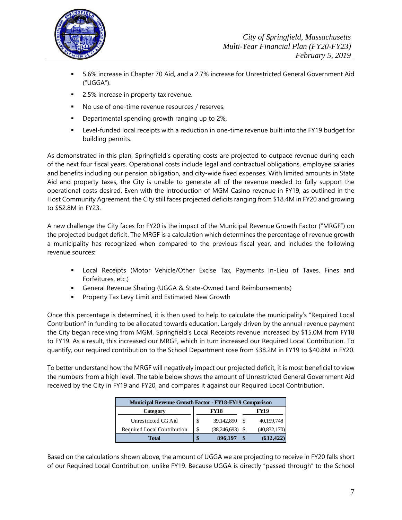

- 5.6% increase in Chapter 70 Aid, and a 2.7% increase for Unrestricted General Government Aid ("UGGA").
- 2.5% increase in property tax revenue.
- No use of one-time revenue resources / reserves.
- **•** Departmental spending growth ranging up to 2%.
- Level-funded local receipts with a reduction in one-time revenue built into the FY19 budget for building permits.

As demonstrated in this plan, Springfield's operating costs are projected to outpace revenue during each of the next four fiscal years. Operational costs include legal and contractual obligations, employee salaries and benefits including our pension obligation, and city-wide fixed expenses. With limited amounts in State Aid and property taxes, the City is unable to generate all of the revenue needed to fully support the operational costs desired. Even with the introduction of MGM Casino revenue in FY19, as outlined in the Host Community Agreement, the City still faces projected deficits ranging from \$18.4M in FY20 and growing to \$52.8M in FY23.

A new challenge the City faces for FY20 is the impact of the Municipal Revenue Growth Factor ("MRGF") on the projected budget deficit. The MRGF is a calculation which determines the percentage of revenue growth a municipality has recognized when compared to the previous fiscal year, and includes the following revenue sources:

- Local Receipts (Motor Vehicle/Other Excise Tax, Payments In-Lieu of Taxes, Fines and Forfeitures, etc.)
- General Revenue Sharing (UGGA & State-Owned Land Reimbursements)
- **Property Tax Levy Limit and Estimated New Growth**

Once this percentage is determined, it is then used to help to calculate the municipality's "Required Local Contribution" in funding to be allocated towards education. Largely driven by the annual revenue payment the City began receiving from MGM, Springfield's Local Receipts revenue increased by \$15.0M from FY18 to FY19. As a result, this increased our MRGF, which in turn increased our Required Local Contribution. To quantify, our required contribution to the School Department rose from \$38.2M in FY19 to \$40.8M in FY20.

To better understand how the MRGF will negatively impact our projected deficit, it is most beneficial to view the numbers from a high level. The table below shows the amount of Unrestricted General Government Aid received by the City in FY19 and FY20, and compares it against our Required Local Contribution.

| <b>Municipal Revenue Growth Factor - FY18-FY19 Comparison</b> |    |                   |             |                |  |  |  |
|---------------------------------------------------------------|----|-------------------|-------------|----------------|--|--|--|
| Category                                                      |    | <b>FY18</b>       | <b>FY19</b> |                |  |  |  |
| Unrestricted GG Aid                                           | \$ | 39,142,890 \$     |             | 40,199,748     |  |  |  |
| Required Local Contribution                                   | \$ | $(38,246,693)$ \$ |             | (40, 832, 170) |  |  |  |
| Total                                                         |    | 896.197           |             | (632, 422)     |  |  |  |

Based on the calculations shown above, the amount of UGGA we are projecting to receive in FY20 falls short of our Required Local Contribution, unlike FY19. Because UGGA is directly "passed through" to the School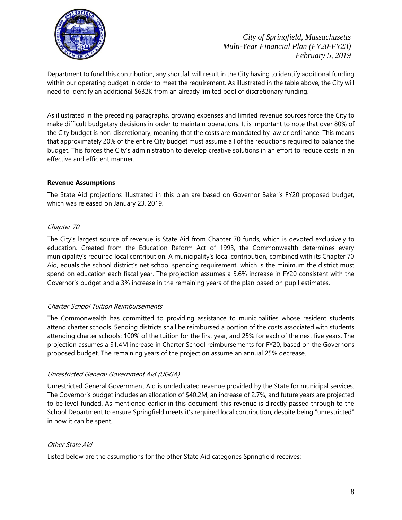

Department to fund this contribution, any shortfall will result in the City having to identify additional funding within our operating budget in order to meet the requirement. As illustrated in the table above, the City will need to identify an additional \$632K from an already limited pool of discretionary funding.

As illustrated in the preceding paragraphs, growing expenses and limited revenue sources force the City to make difficult budgetary decisions in order to maintain operations. It is important to note that over 80% of the City budget is non-discretionary, meaning that the costs are mandated by law or ordinance. This means that approximately 20% of the entire City budget must assume all of the reductions required to balance the budget. This forces the City's administration to develop creative solutions in an effort to reduce costs in an effective and efficient manner.

# **Revenue Assumptions**

The State Aid projections illustrated in this plan are based on Governor Baker's FY20 proposed budget, which was released on January 23, 2019.

# Chapter 70

The City's largest source of revenue is State Aid from Chapter 70 funds, which is devoted exclusively to education. Created from the Education Reform Act of 1993, the Commonwealth determines every municipality's required local contribution. A municipality's local contribution, combined with its Chapter 70 Aid, equals the school district's net school spending requirement, which is the minimum the district must spend on education each fiscal year. The projection assumes a 5.6% increase in FY20 consistent with the Governor's budget and a 3% increase in the remaining years of the plan based on pupil estimates.

#### Charter School Tuition Reimbursements

The Commonwealth has committed to providing assistance to municipalities whose resident students attend charter schools. Sending districts shall be reimbursed a portion of the costs associated with students attending charter schools; 100% of the tuition for the first year, and 25% for each of the next five years. The projection assumes a \$1.4M increase in Charter School reimbursements for FY20, based on the Governor's proposed budget. The remaining years of the projection assume an annual 25% decrease.

#### Unrestricted General Government Aid (UGGA)

Unrestricted General Government Aid is undedicated revenue provided by the State for municipal services. The Governor's budget includes an allocation of \$40.2M, an increase of 2.7%, and future years are projected to be level-funded. As mentioned earlier in this document, this revenue is directly passed through to the School Department to ensure Springfield meets it's required local contribution, despite being "unrestricted" in how it can be spent.

#### Other State Aid

Listed below are the assumptions for the other State Aid categories Springfield receives: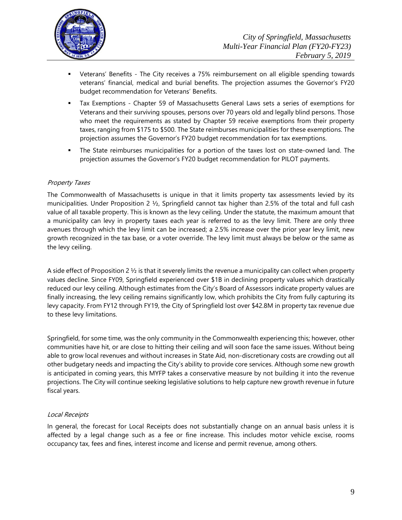

- Veterans' Benefits The City receives a 75% reimbursement on all eligible spending towards veterans' financial, medical and burial benefits. The projection assumes the Governor's FY20 budget recommendation for Veterans' Benefits.
- Tax Exemptions Chapter 59 of Massachusetts General Laws sets a series of exemptions for Veterans and their surviving spouses, persons over 70 years old and legally blind persons. Those who meet the requirements as stated by Chapter 59 receive exemptions from their property taxes, ranging from \$175 to \$500. The State reimburses municipalities for these exemptions. The projection assumes the Governor's FY20 budget recommendation for tax exemptions.
- The State reimburses municipalities for a portion of the taxes lost on state-owned land. The projection assumes the Governor's FY20 budget recommendation for PILOT payments.

# Property Taxes

The Commonwealth of Massachusetts is unique in that it limits property tax assessments levied by its municipalities. Under Proposition 2  $\frac{1}{2}$ , Springfield cannot tax higher than 2.5% of the total and full cash value of all taxable property. This is known as the levy ceiling. Under the statute, the maximum amount that a municipality can levy in property taxes each year is referred to as the levy limit. There are only three avenues through which the levy limit can be increased; a 2.5% increase over the prior year levy limit, new growth recognized in the tax base, or a voter override. The levy limit must always be below or the same as the levy ceiling.

A side effect of Proposition 2 ½ is that it severely limits the revenue a municipality can collect when property values decline. Since FY09, Springfield experienced over \$1B in declining property values which drastically reduced our levy ceiling. Although estimates from the City's Board of Assessors indicate property values are finally increasing, the levy ceiling remains significantly low, which prohibits the City from fully capturing its levy capacity. From FY12 through FY19, the City of Springfield lost over \$42.8M in property tax revenue due to these levy limitations.

Springfield, for some time, was the only community in the Commonwealth experiencing this; however, other communities have hit, or are close to hitting their ceiling and will soon face the same issues. Without being able to grow local revenues and without increases in State Aid, non-discretionary costs are crowding out all other budgetary needs and impacting the City's ability to provide core services. Although some new growth is anticipated in coming years, this MYFP takes a conservative measure by not building it into the revenue projections. The City will continue seeking legislative solutions to help capture new growth revenue in future fiscal years.

#### Local Receipts

In general, the forecast for Local Receipts does not substantially change on an annual basis unless it is affected by a legal change such as a fee or fine increase. This includes motor vehicle excise, rooms occupancy tax, fees and fines, interest income and license and permit revenue, among others.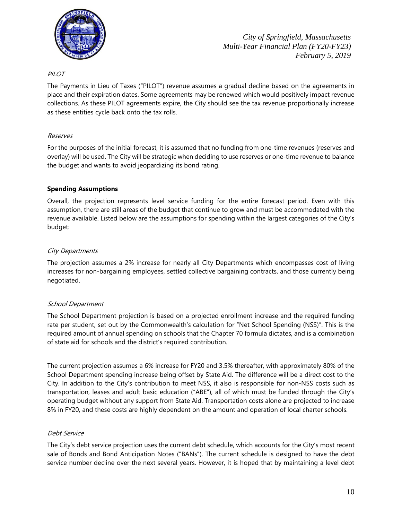

# PILOT

The Payments in Lieu of Taxes ("PILOT") revenue assumes a gradual decline based on the agreements in place and their expiration dates. Some agreements may be renewed which would positively impact revenue collections. As these PILOT agreements expire, the City should see the tax revenue proportionally increase as these entities cycle back onto the tax rolls.

#### Reserves

For the purposes of the initial forecast, it is assumed that no funding from one-time revenues (reserves and overlay) will be used. The City will be strategic when deciding to use reserves or one-time revenue to balance the budget and wants to avoid jeopardizing its bond rating.

# **Spending Assumptions**

Overall, the projection represents level service funding for the entire forecast period. Even with this assumption, there are still areas of the budget that continue to grow and must be accommodated with the revenue available. Listed below are the assumptions for spending within the largest categories of the City's budget:

# City Departments

The projection assumes a 2% increase for nearly all City Departments which encompasses cost of living increases for non-bargaining employees, settled collective bargaining contracts, and those currently being negotiated.

# School Department

The School Department projection is based on a projected enrollment increase and the required funding rate per student, set out by the Commonwealth's calculation for "Net School Spending (NSS)". This is the required amount of annual spending on schools that the Chapter 70 formula dictates, and is a combination of state aid for schools and the district's required contribution.

The current projection assumes a 6% increase for FY20 and 3.5% thereafter, with approximately 80% of the School Department spending increase being offset by State Aid. The difference will be a direct cost to the City. In addition to the City's contribution to meet NSS, it also is responsible for non-NSS costs such as transportation, leases and adult basic education ("ABE"), all of which must be funded through the City's operating budget without any support from State Aid. Transportation costs alone are projected to increase 8% in FY20, and these costs are highly dependent on the amount and operation of local charter schools.

#### Debt Service

The City's debt service projection uses the current debt schedule, which accounts for the City's most recent sale of Bonds and Bond Anticipation Notes ("BANs"). The current schedule is designed to have the debt service number decline over the next several years. However, it is hoped that by maintaining a level debt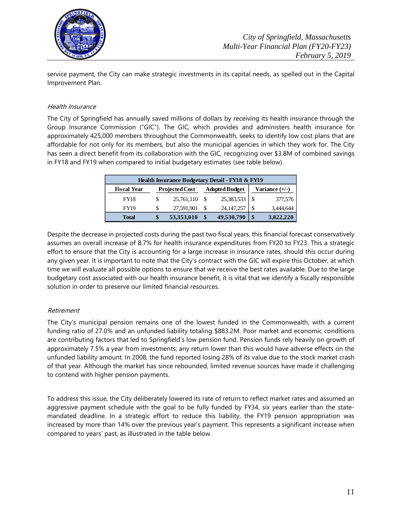

service payment, the City can make strategic investments in its capital needs, as spelled out in the Capital Improvement Plan.

# Health Insurance

The City of Springfield has annually saved millions of dollars by receiving its health insurance through the Group Insurance Commission ("GIC"). The GIC, which provides and administers health insurance for approximately 425,000 members throughout the Commonwealth, seeks to identify low cost plans that are affordable for not only for its members, but also the municipal agencies in which they work for. The City has seen a direct benefit from its collaboration with the GIC, recognizing over \$3.8M of combined savings in FY18 and FY19 when compared to initial budgetary estimates (see table below).

| Health Insurance Budgetary Detail - FY18 & FY19 |                       |            |                       |              |                  |           |  |
|-------------------------------------------------|-----------------------|------------|-----------------------|--------------|------------------|-----------|--|
| <b>Fiscal Year</b>                              | <b>Projected Cost</b> |            | <b>Adopted Budget</b> |              | Variance $(+/-)$ |           |  |
| <b>FY18</b>                                     |                       | 25,761,110 | - \$                  | 25,383,533   | \$.              | 377,576   |  |
| <b>FY19</b>                                     | \$                    | 27,591,901 |                       | 24, 147, 257 | S                | 3,444,644 |  |
| <b>Total</b>                                    | \$                    | 53,353,010 |                       | 49,530,790   | \$               | 3,822,220 |  |

Despite the decrease in projected costs during the past two fiscal years, this financial forecast conservatively assumes an overall increase of 8.7% for health insurance expenditures from FY20 to FY23. This a strategic effort to ensure that the City is accounting for a large increase in insurance rates, should this occur during any given year. It is important to note that the City's contract with the GIC will expire this October, at which time we will evaluate all possible options to ensure that we receive the best rates available. Due to the large budgetary cost associated with our health insurance benefit, it is vital that we identify a fiscally responsible solution in order to preserve our limited financial resources.

# Retirement

The City's municipal pension remains one of the lowest funded in the Commonwealth, with a current funding ratio of 27.0% and an unfunded liability totaling \$883.2M. Poor market and economic conditions are contributing factors that led to Springfield's low pension fund. Pension funds rely heavily on growth of approximately 7.5% a year from investments; any return lower than this would have adverse effects on the unfunded liability amount. In 2008, the fund reported losing 28% of its value due to the stock market crash of that year. Although the market has since rebounded, limited revenue sources have made it challenging to contend with higher pension payments.

To address this issue, the City deliberately lowered its rate of return to reflect market rates and assumed an aggressive payment schedule with the goal to be fully funded by FY34, six years earlier than the statemandated deadline. In a strategic effort to reduce this liability, the FY19 pension appropriation was increased by more than 14% over the previous year's payment. This represents a significant increase when compared to years' past, as illustrated in the table below.